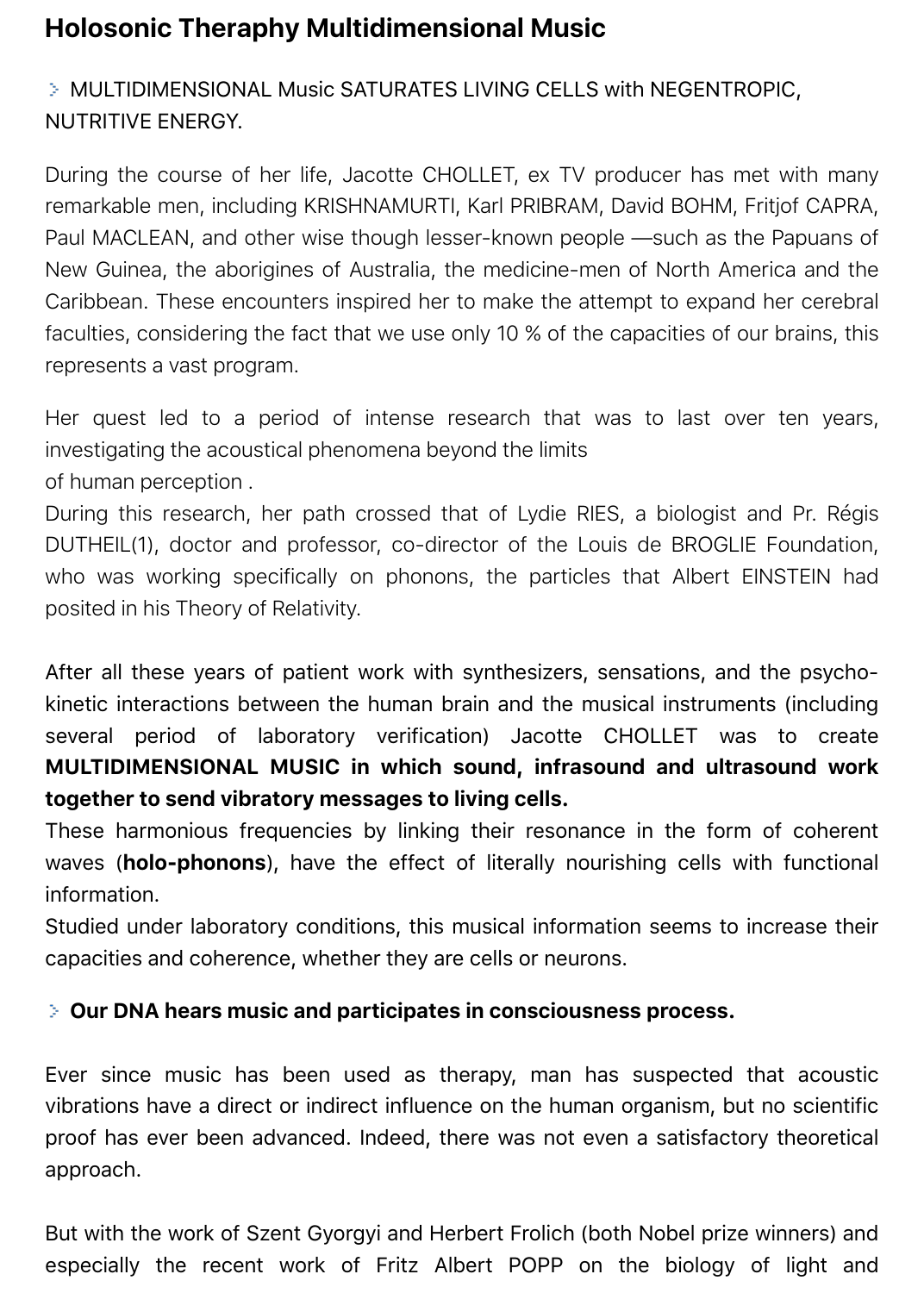# **Holosonic Theraphy Multidimensional Music**

# MULTIDIMENSIONAL Music SATURATES LIVING CELLS with NEGENTROPIC, NUTRITIVE ENERGY.

During the course of her life, Jacotte CHOLLET, ex TV producer has met with many remarkable men, including KRISHNAMURTI, Karl PRIBRAM, David BOHM, Fritjof CAPRA, Paul MACLEAN, and other wise though lesser-known people —such as the Papuans of New Guinea, the aborigines of Australia, the medicine-men of North America and the Caribbean. These encounters inspired her to make the attempt to expand her cerebral faculties, considering the fact that we use only 10 % of the capacities of our brains, this represents a vast program.

Her quest led to a period of intense research that was to last over ten years, investigating the acoustical phenomena beyond the limits

of human perception .

During this research, her path crossed that of Lydie RIES, a biologist and Pr. Régis DUTHEIL(1), doctor and professor, co-director of the Louis de BROGLIE Foundation, who was working specifically on phonons, the particles that Albert EINSTEIN had posited in his Theory of Relativity.

After all these years of patient work with synthesizers, sensations, and the psychokinetic interactions between the human brain and the musical instruments (including several period of laboratory verification) Jacotte CHOLLET was to create **MULTIDIMENSIONAL MUSIC in which sound, infrasound and ultrasound work together to send vibratory messages to living cells.**

These harmonious frequencies by linking their resonance in the form of coherent waves (**holo-phonons**), have the effect of literally nourishing cells with functional information.

Studied under laboratory conditions, this musical information seems to increase their capacities and coherence, whether they are cells or neurons.

### **Our DNA hears music and participates in consciousness process.**

Ever since music has been used as therapy, man has suspected that acoustic vibrations have a direct or indirect influence on the human organism, but no scientific proof has ever been advanced. Indeed, there was not even a satisfactory theoretical approach.

But with the work of Szent Gyorgyi and Herbert Frolich (both Nobel prize winners) and especially the recent work of Fritz Albert POPP on the biology of light and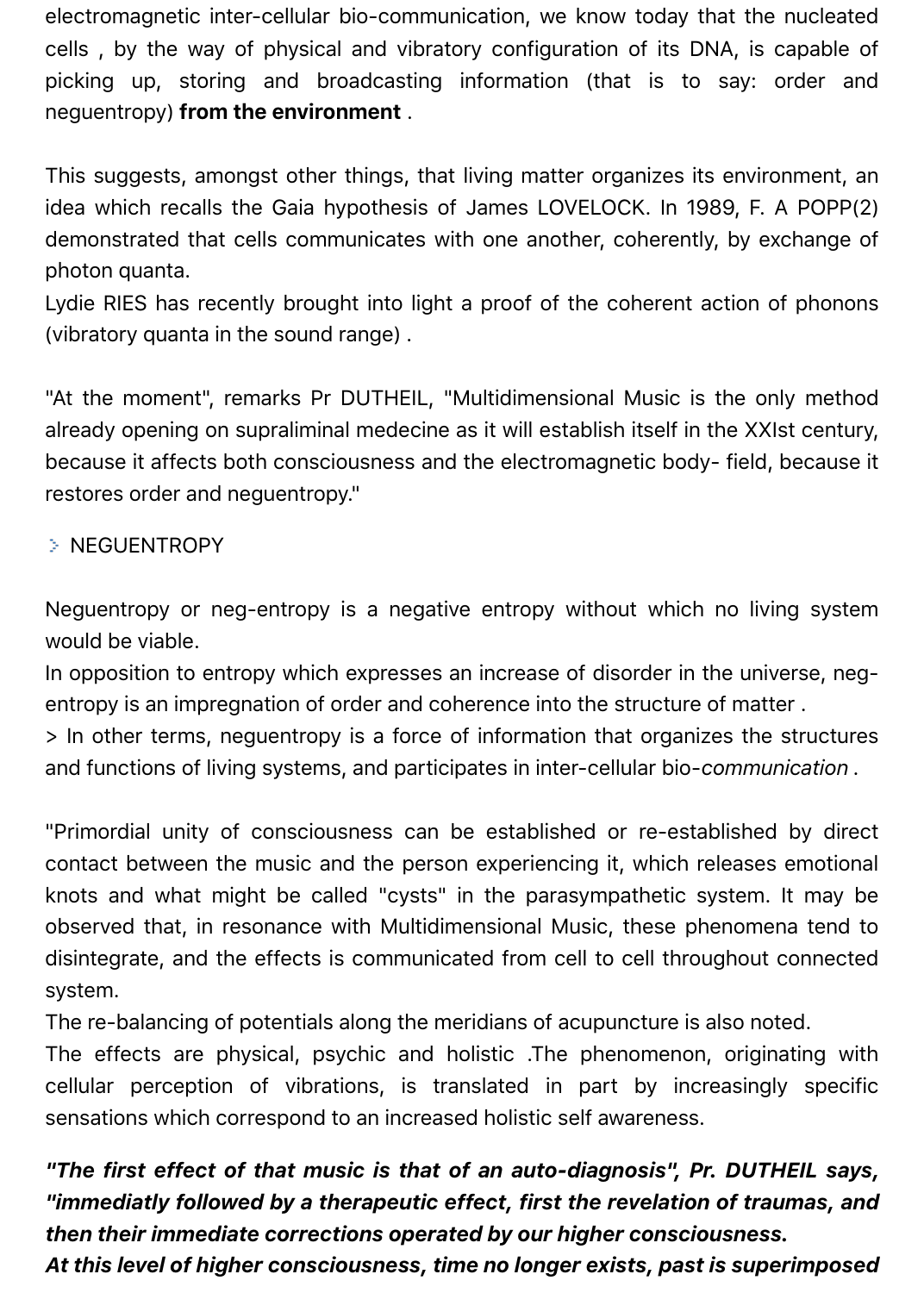electromagnetic inter-cellular bio-communication, we know today that the nucleated cells , by the way of physical and vibratory configuration of its DNA, is capable of picking up, storing and broadcasting information (that is to say: order and neguentropy) **from the environment** .

This suggests, amongst other things, that living matter organizes its environment, an idea which recalls the Gaia hypothesis of James LOVELOCK. In 1989, F. A POPP(2) demonstrated that cells communicates with one another, coherently, by exchange of photon quanta.

Lydie RIES has recently brought into light a proof of the coherent action of phonons (vibratory quanta in the sound range) .

"At the moment", remarks Pr DUTHEIL, "Multidimensional Music is the only method already opening on supraliminal medecine as it will establish itself in the XXIst century, because it affects both consciousness and the electromagnetic body- field, because it restores order and neguentropy."

#### > NEGUENTROPY

Neguentropy or neg-entropy is a negative entropy without which no living system would be viable.

In opposition to entropy which expresses an increase of disorder in the universe, negentropy is an impregnation of order and coherence into the structure of matter .

> In other terms, neguentropy is a force of information that organizes the structures and functions of living systems, and participates in inter-cellular bio-*communication .*

"Primordial unity of consciousness can be established or re-established by direct contact between the music and the person experiencing it, which releases emotional knots and what might be called "cysts" in the parasympathetic system. It may be observed that, in resonance with Multidimensional Music, these phenomena tend to disintegrate, and the effects is communicated from cell to cell throughout connected system.

The re-balancing of potentials along the meridians of acupuncture is also noted.

The effects are physical, psychic and holistic .The phenomenon, originating with cellular perception of vibrations, is translated in part by increasingly specific sensations which correspond to an increased holistic self awareness.

*"The first effect of that music is that of an auto-diagnosis", Pr. DUTHEIL says, "immediatly followed by a therapeutic effect, first the revelation of traumas, and then their immediate corrections operated by our higher consciousness.*

*At this level of higher consciousness, time no longer exists, past is superimposed*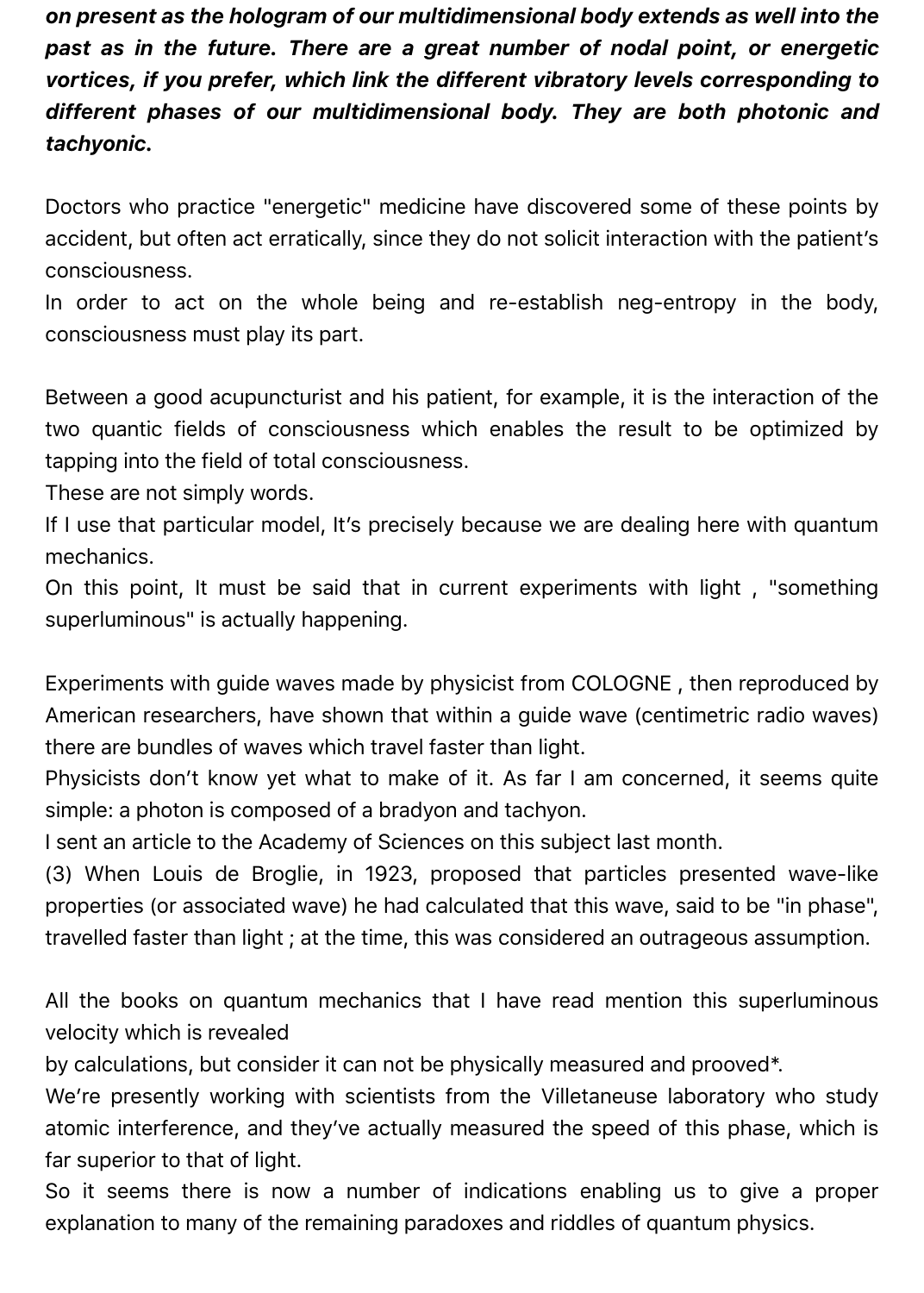*on present as the hologram of our multidimensional body extends as well into the past as in the future. There are a great number of nodal point, or energetic vortices, if you prefer, which link the different vibratory levels corresponding to different phases of our multidimensional body. They are both photonic and tachyonic.*

Doctors who practice "energetic" medicine have discovered some of these points by accident, but often act erratically, since they do not solicit interaction with the patient's consciousness.

In order to act on the whole being and re-establish neg-entropy in the body, consciousness must play its part.

Between a good acupuncturist and his patient, for example, it is the interaction of the two quantic fields of consciousness which enables the result to be optimized by tapping into the field of total consciousness.

These are not simply words.

If I use that particular model, It's precisely because we are dealing here with quantum mechanics.

On this point, It must be said that in current experiments with light , "something superluminous" is actually happening.

Experiments with guide waves made by physicist from COLOGNE , then reproduced by American researchers, have shown that within a guide wave (centimetric radio waves) there are bundles of waves which travel faster than light.

Physicists don't know yet what to make of it. As far I am concerned, it seems quite simple: a photon is composed of a bradyon and tachyon.

I sent an article to the Academy of Sciences on this subject last month.

(3) When Louis de Broglie, in 1923, proposed that particles presented wave-like properties (or associated wave) he had calculated that this wave, said to be "in phase", travelled faster than light ; at the time, this was considered an outrageous assumption.

All the books on quantum mechanics that I have read mention this superluminous velocity which is revealed

by calculations, but consider it can not be physically measured and prooved\*.

We're presently working with scientists from the Villetaneuse laboratory who study atomic interference, and they've actually measured the speed of this phase, which is far superior to that of light.

So it seems there is now a number of indications enabling us to give a proper explanation to many of the remaining paradoxes and riddles of quantum physics.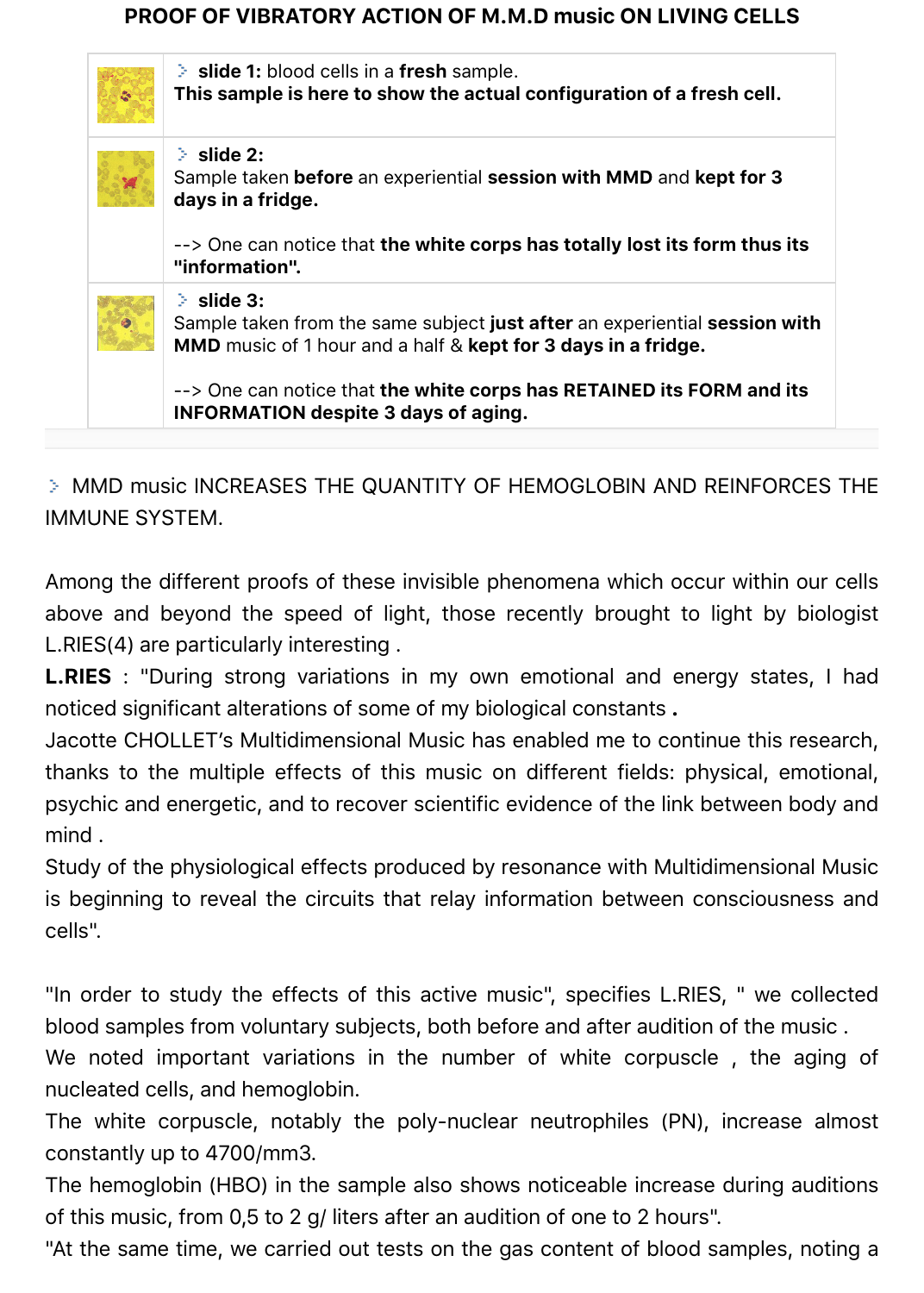#### **PROOF OF VIBRATORY ACTION OF M.M.D music ON LIVING CELLS**

| $C^*$ | $\geq$ slide 1: blood cells in a fresh sample.<br>This sample is here to show the actual configuration of a fresh cell.                                                      |
|-------|------------------------------------------------------------------------------------------------------------------------------------------------------------------------------|
|       | $\geq$ slide 2:<br>Sample taken before an experiential session with MMD and kept for 3<br>days in a fridge.                                                                  |
|       | --> One can notice that the white corps has totally lost its form thus its<br>"information".                                                                                 |
|       | $\geq$ slide 3:<br>Sample taken from the same subject just after an experiential session with<br><b>MMD</b> music of 1 hour and a half & <b>kept for 3 days in a fridge.</b> |
|       | --> One can notice that the white corps has RETAINED its FORM and its<br><b>INFORMATION despite 3 days of aging.</b>                                                         |

MMD music INCREASES THE QUANTITY OF HEMOGLOBIN AND REINFORCES THE IMMUNE SYSTEM.

Among the different proofs of these invisible phenomena which occur within our cells above and beyond the speed of light, those recently brought to light by biologist L.RIES(4) are particularly interesting .

**L.RIES** : "During strong variations in my own emotional and energy states, I had noticed significant alterations of some of my biological constants **.**

Jacotte CHOLLET's Multidimensional Music has enabled me to continue this research, thanks to the multiple effects of this music on different fields: physical, emotional, psychic and energetic, and to recover scientific evidence of the link between body and mind .

Study of the physiological effects produced by resonance with Multidimensional Music is beginning to reveal the circuits that relay information between consciousness and cells".

"In order to study the effects of this active music", specifies L.RIES, " we collected blood samples from voluntary subjects, both before and after audition of the music .

We noted important variations in the number of white corpuscle , the aging of nucleated cells, and hemoglobin.

The white corpuscle, notably the poly-nuclear neutrophiles (PN), increase almost constantly up to 4700/mm3.

The hemoglobin (HBO) in the sample also shows noticeable increase during auditions of this music, from 0,5 to 2 g/ liters after an audition of one to 2 hours".

"At the same time, we carried out tests on the gas content of blood samples, noting a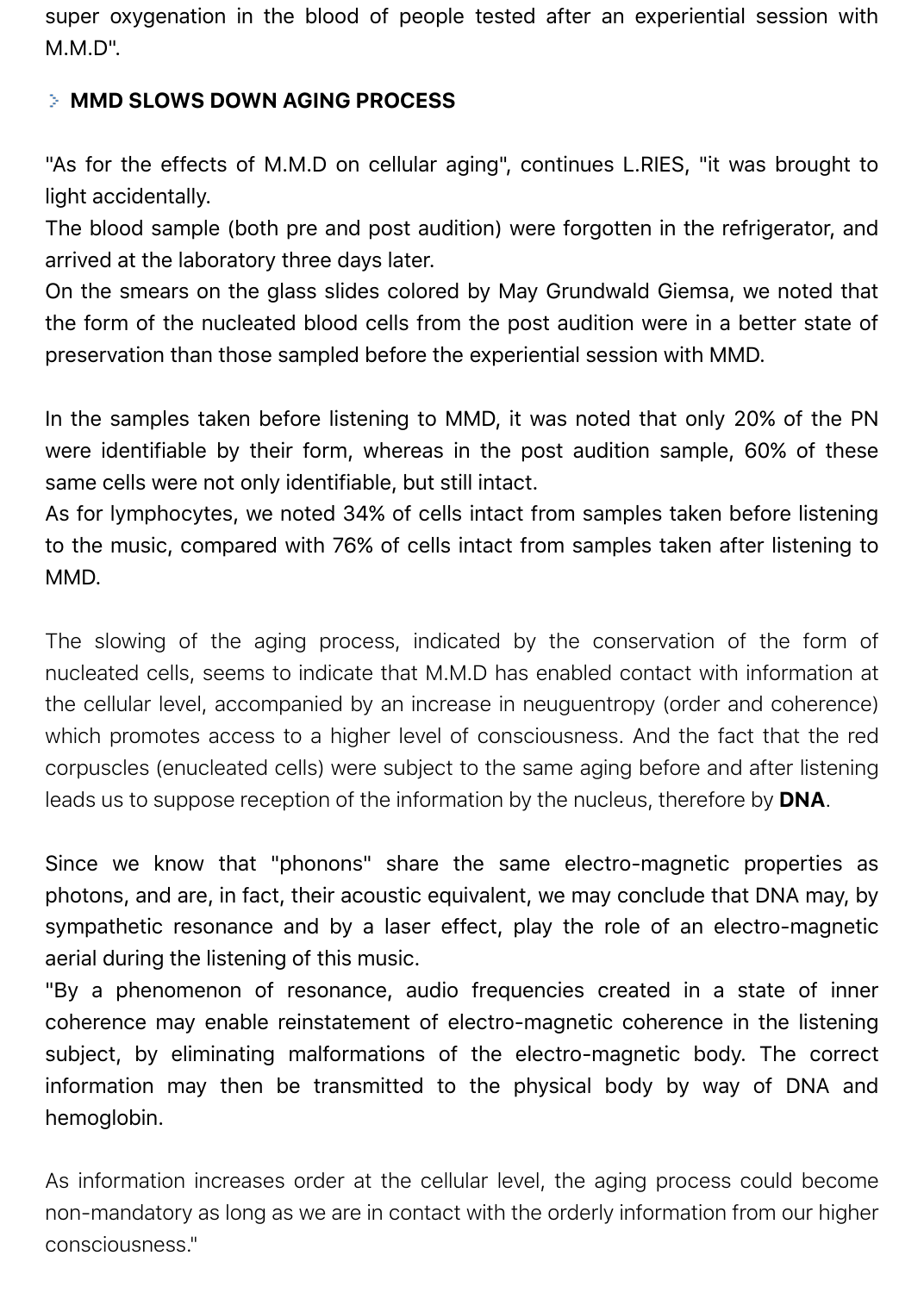super oxygenation in the blood of people tested after an experiential session with M.M.D".

### **MMD SLOWS DOWN AGING PROCESS**

"As for the effects of M.M.D on cellular aging", continues L.RIES, "it was brought to light accidentally.

The blood sample (both pre and post audition) were forgotten in the refrigerator, and arrived at the laboratory three days later.

On the smears on the glass slides colored by May Grundwald Giemsa, we noted that the form of the nucleated blood cells from the post audition were in a better state of preservation than those sampled before the experiential session with MMD.

In the samples taken before listening to MMD, it was noted that only 20% of the PN were identifiable by their form, whereas in the post audition sample, 60% of these same cells were not only identifiable, but still intact.

As for lymphocytes, we noted 34% of cells intact from samples taken before listening to the music, compared with 76% of cells intact from samples taken after listening to MMD.

The slowing of the aging process, indicated by the conservation of the form of nucleated cells, seems to indicate that M.M.D has enabled contact with information at the cellular level, accompanied by an increase in neuguentropy (order and coherence) which promotes access to a higher level of consciousness. And the fact that the red corpuscles (enucleated cells) were subject to the same aging before and after listening leads us to suppose reception of the information by the nucleus, therefore by **DNA**.

Since we know that "phonons" share the same electro-magnetic properties as photons, and are, in fact, their acoustic equivalent, we may conclude that DNA may, by sympathetic resonance and by a laser effect, play the role of an electro-magnetic aerial during the listening of this music.

"By a phenomenon of resonance, audio frequencies created in a state of inner coherence may enable reinstatement of electro-magnetic coherence in the listening subject, by eliminating malformations of the electro-magnetic body. The correct information may then be transmitted to the physical body by way of DNA and hemoglobin.

As information increases order at the cellular level, the aging process could become non-mandatory as long as we are in contact with the orderly information from our higher consciousness."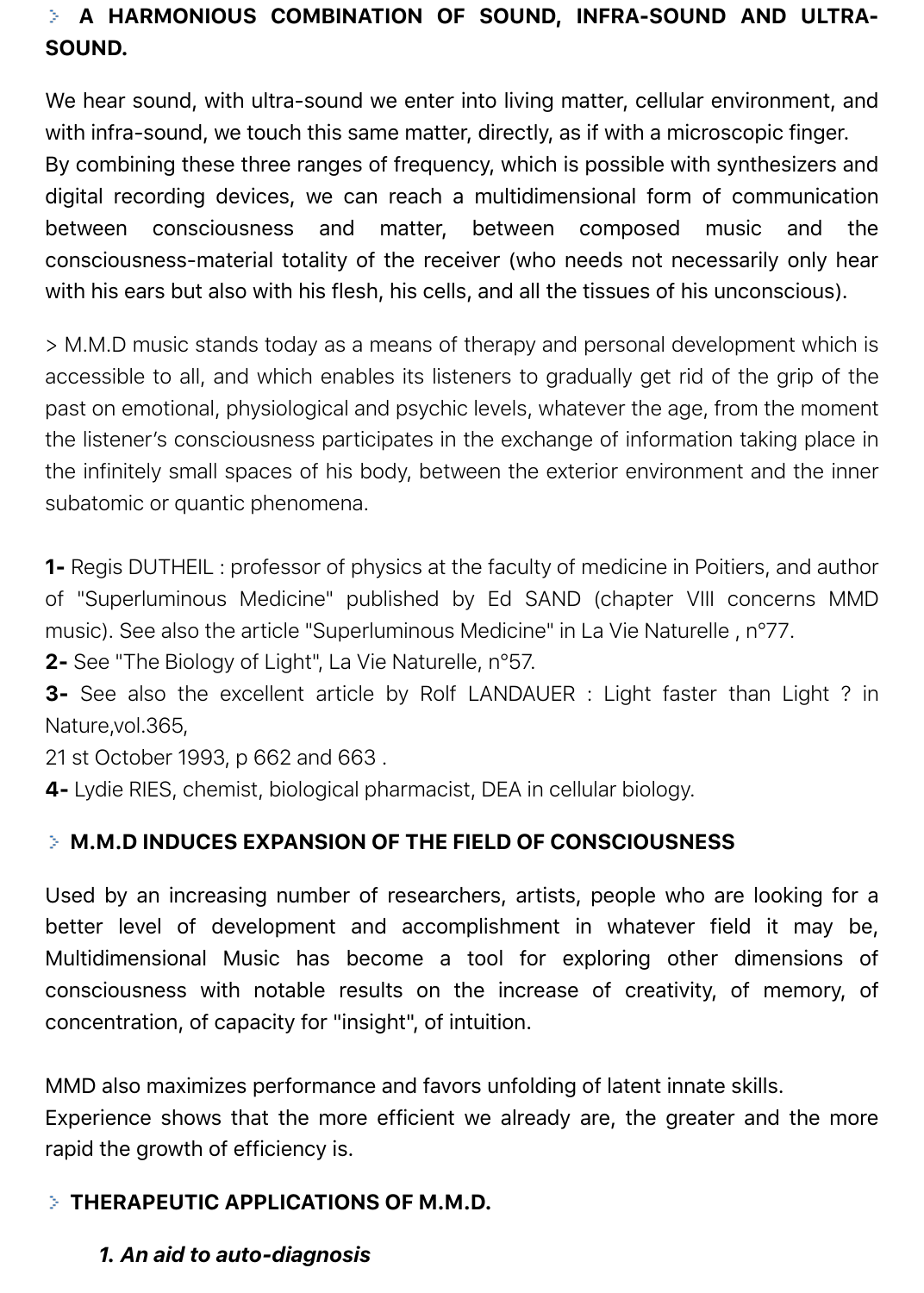# **A HARMONIOUS COMBINATION OF SOUND, INFRA-SOUND AND ULTRA-SOUND.**

We hear sound, with ultra-sound we enter into living matter, cellular environment, and with infra-sound, we touch this same matter, directly, as if with a microscopic finger. By combining these three ranges of frequency, which is possible with synthesizers and digital recording devices, we can reach a multidimensional form of communication between consciousness and matter, between composed music and the consciousness-material totality of the receiver (who needs not necessarily only hear with his ears but also with his flesh, his cells, and all the tissues of his unconscious).

> M.M.D music stands today as a means of therapy and personal development which is accessible to all, and which enables its listeners to gradually get rid of the grip of the past on emotional, physiological and psychic levels, whatever the age, from the moment the listener's consciousness participates in the exchange of information taking place in the infinitely small spaces of his body, between the exterior environment and the inner subatomic or quantic phenomena.

**1-** Regis DUTHEIL : professor of physics at the faculty of medicine in Poitiers, and author of "Superluminous Medicine" published by Ed SAND (chapter VIII concerns MMD music). See also the article "Superluminous Medicine" in La Vie Naturelle , n°77.

**2-** See "The Biology of Light", La Vie Naturelle, n°57.

**3-** See also the excellent article by Rolf LANDAUER : Light faster than Light ? in Nature,vol.365,

21 st October 1993, p 662 and 663 .

**4-** Lydie RIES, chemist, biological pharmacist, DEA in cellular biology.

### **M.M.D INDUCES EXPANSION OF THE FIELD OF CONSCIOUSNESS**

Used by an increasing number of researchers, artists, people who are looking for a better level of development and accomplishment in whatever field it may be, Multidimensional Music has become a tool for exploring other dimensions of consciousness with notable results on the increase of creativity, of memory, of concentration, of capacity for "insight", of intuition.

MMD also maximizes performance and favors unfolding of latent innate skills.

Experience shows that the more efficient we already are, the greater and the more rapid the growth of efficiency is.

### **THERAPEUTIC APPLICATIONS OF M.M.D.**

#### *1. An aid to auto-diagnosis*